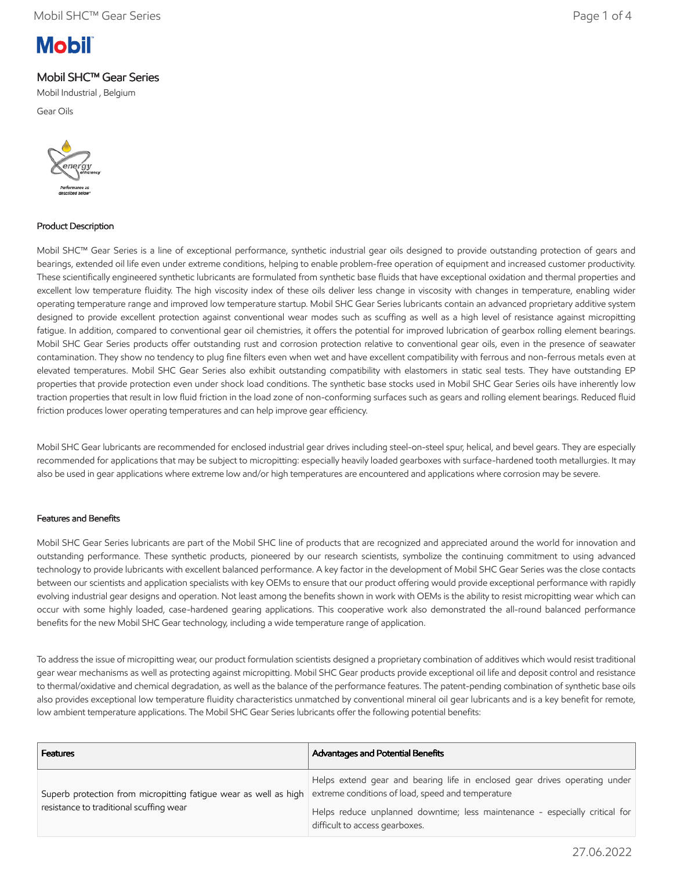# **Mobil**

## Mobil SHC™ Gear Series

Mobil Industrial , Belgium

Gear Oils



## Product Description

Mobil SHC™ Gear Series is a line of exceptional performance, synthetic industrial gear oils designed to provide outstanding protection of gears and bearings, extended oil life even under extreme conditions, helping to enable problem-free operation of equipment and increased customer productivity. These scientifically engineered synthetic lubricants are formulated from synthetic base fluids that have exceptional oxidation and thermal properties and excellent low temperature fluidity. The high viscosity index of these oils deliver less change in viscosity with changes in temperature, enabling wider operating temperature range and improved low temperature startup. Mobil SHC Gear Series lubricants contain an advanced proprietary additive system designed to provide excellent protection against conventional wear modes such as scuffing as well as a high level of resistance against micropitting fatigue. In addition, compared to conventional gear oil chemistries, it offers the potential for improved lubrication of gearbox rolling element bearings. Mobil SHC Gear Series products offer outstanding rust and corrosion protection relative to conventional gear oils, even in the presence of seawater contamination. They show no tendency to plug fine filters even when wet and have excellent compatibility with ferrous and non-ferrous metals even at elevated temperatures. Mobil SHC Gear Series also exhibit outstanding compatibility with elastomers in static seal tests. They have outstanding EP properties that provide protection even under shock load conditions. The synthetic base stocks used in Mobil SHC Gear Series oils have inherently low traction properties that result in low fluid friction in the load zone of non-conforming surfaces such as gears and rolling element bearings. Reduced fluid friction produces lower operating temperatures and can help improve gear efficiency.

Mobil SHC Gear lubricants are recommended for enclosed industrial gear drives including steel-on-steel spur, helical, and bevel gears. They are especially recommended for applications that may be subject to micropitting: especially heavily loaded gearboxes with surface-hardened tooth metallurgies. It may also be used in gear applications where extreme low and/or high temperatures are encountered and applications where corrosion may be severe.

## Features and Benefits

Mobil SHC Gear Series lubricants are part of the Mobil SHC line of products that are recognized and appreciated around the world for innovation and outstanding performance. These synthetic products, pioneered by our research scientists, symbolize the continuing commitment to using advanced technology to provide lubricants with excellent balanced performance. A key factor in the development of Mobil SHC Gear Series was the close contacts between our scientists and application specialists with key OEMs to ensure that our product offering would provide exceptional performance with rapidly evolving industrial gear designs and operation. Not least among the benefits shown in work with OEMs is the ability to resist micropitting wear which can occur with some highly loaded, case-hardened gearing applications. This cooperative work also demonstrated the all-round balanced performance benefits for the new Mobil SHC Gear technology, including a wide temperature range of application.

To address the issue of micropitting wear, our product formulation scientists designed a proprietary combination of additives which would resist traditional gear wear mechanisms as well as protecting against micropitting. Mobil SHC Gear products provide exceptional oil life and deposit control and resistance to thermal/oxidative and chemical degradation, as well as the balance of the performance features. The patent-pending combination of synthetic base oils also provides exceptional low temperature fluidity characteristics unmatched by conventional mineral oil gear lubricants and is a key benefit for remote, low ambient temperature applications. The Mobil SHC Gear Series lubricants offer the following potential benefits:

| <b>Features</b>                                                                                             | Advantages and Potential Benefits                                                                                                                                                                                                                |
|-------------------------------------------------------------------------------------------------------------|--------------------------------------------------------------------------------------------------------------------------------------------------------------------------------------------------------------------------------------------------|
| Superb protection from micropitting fatigue wear as well as high<br>resistance to traditional scuffing wear | Helps extend gear and bearing life in enclosed gear drives operating under<br>extreme conditions of load, speed and temperature<br>Helps reduce unplanned downtime; less maintenance - especially critical for<br>difficult to access gearboxes. |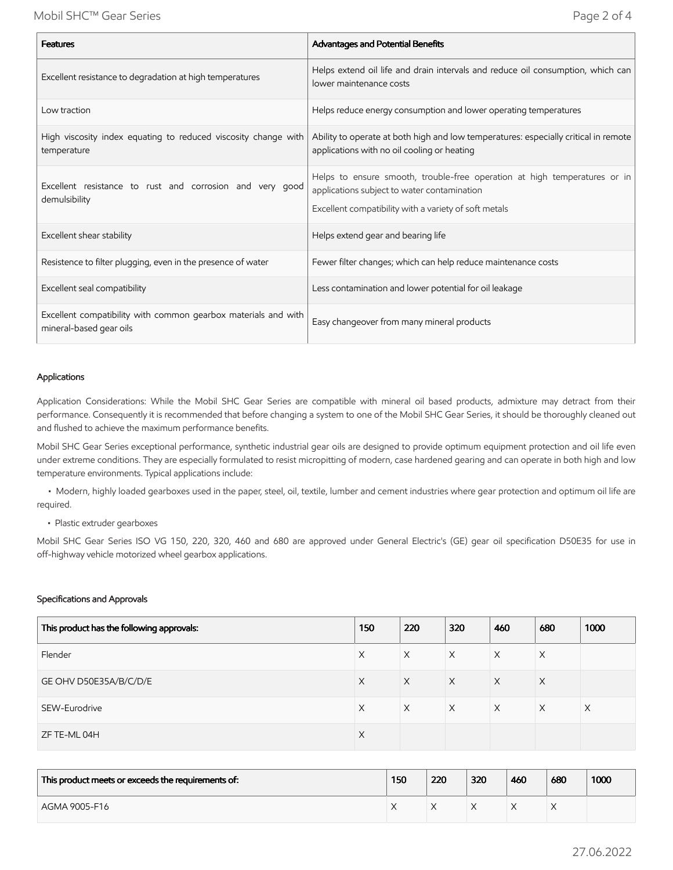| <b>Features</b>                                                                           | Advantages and Potential Benefits                                                                                                                                                 |
|-------------------------------------------------------------------------------------------|-----------------------------------------------------------------------------------------------------------------------------------------------------------------------------------|
| Excellent resistance to degradation at high temperatures                                  | Helps extend oil life and drain intervals and reduce oil consumption, which can<br>lower maintenance costs                                                                        |
| Low traction                                                                              | Helps reduce energy consumption and lower operating temperatures                                                                                                                  |
| High viscosity index equating to reduced viscosity change with<br>temperature             | Ability to operate at both high and low temperatures: especially critical in remote<br>applications with no oil cooling or heating                                                |
| Excellent resistance to rust and corrosion and very good<br>demulsibility                 | Helps to ensure smooth, trouble-free operation at high temperatures or in<br>applications subject to water contamination<br>Excellent compatibility with a variety of soft metals |
| Excellent shear stability                                                                 | Helps extend gear and bearing life                                                                                                                                                |
| Resistence to filter plugging, even in the presence of water                              | Fewer filter changes; which can help reduce maintenance costs                                                                                                                     |
| Excellent seal compatibility                                                              | Less contamination and lower potential for oil leakage                                                                                                                            |
| Excellent compatibility with common gearbox materials and with<br>mineral-based gear oils | Easy changeover from many mineral products                                                                                                                                        |

#### Applications

Application Considerations: While the Mobil SHC Gear Series are compatible with mineral oil based products, admixture may detract from their performance. Consequently it is recommended that before changing a system to one of the Mobil SHC Gear Series, it should be thoroughly cleaned out and flushed to achieve the maximum performance benefits.

Mobil SHC Gear Series exceptional performance, synthetic industrial gear oils are designed to provide optimum equipment protection and oil life even under extreme conditions. They are especially formulated to resist micropitting of modern, case hardened gearing and can operate in both high and low temperature environments. Typical applications include:

 • Modern, highly loaded gearboxes used in the paper, steel, oil, textile, lumber and cement industries where gear protection and optimum oil life are required.

• Plastic extruder gearboxes

Mobil SHC Gear Series ISO VG 150, 220, 320, 460 and 680 are approved under General Electric's (GE) gear oil specification D50E35 for use in off-highway vehicle motorized wheel gearbox applications.

#### Specifications and Approvals

| This product has the following approvals: | 150      | 220      | 320      | 460      | 680      | 1000     |
|-------------------------------------------|----------|----------|----------|----------|----------|----------|
| Flender                                   | Χ        | X        | X        | Χ        | X        |          |
| GE OHV D50E35A/B/C/D/E                    | X        | $\times$ | $\times$ | $\times$ | $\times$ |          |
| SEW-Eurodrive                             | X        | $\times$ | $\times$ | $\times$ | $\times$ | $\times$ |
| ZF TE-ML 04H                              | $\times$ |          |          |          |          |          |

| This product meets or exceeds the requirements of: | 150 | 220 | 320 | 460 | 680 | 1000 |
|----------------------------------------------------|-----|-----|-----|-----|-----|------|
| AGMA 9005-F16                                      |     |     |     |     |     |      |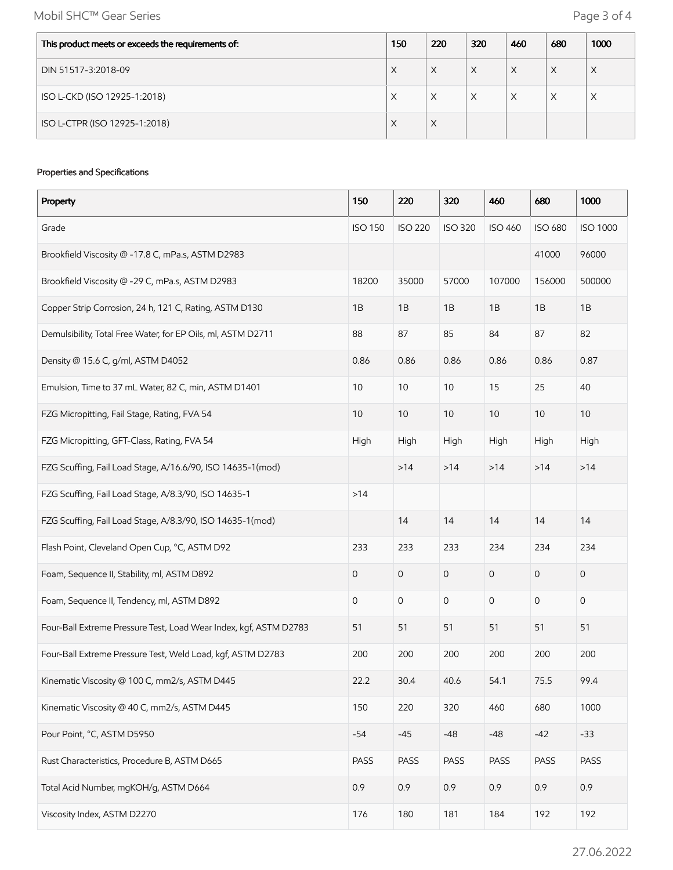Mobil SHC™ Gear Series **Page 3 of 4** 

| This product meets or exceeds the requirements of: | 150 | 220 | 320 | 460 | 680 | 1000 |
|----------------------------------------------------|-----|-----|-----|-----|-----|------|
| DIN 51517-3:2018-09                                | X   | X   | X   | X   | X   | X    |
| ISO L-CKD (ISO 12925-1:2018)                       | X   | X   | Χ   | X   | X   | X    |
| ISO L-CTPR (ISO 12925-1:2018)                      | X   | X   |     |     |     |      |

#### Properties and Specifications

| Property                                                          | 150            | 220            | 320            | 460            | 680                 | 1000            |
|-------------------------------------------------------------------|----------------|----------------|----------------|----------------|---------------------|-----------------|
| Grade                                                             | <b>ISO 150</b> | <b>ISO 220</b> | <b>ISO 320</b> | <b>ISO 460</b> | <b>ISO 680</b>      | <b>ISO 1000</b> |
| Brookfield Viscosity @ -17.8 C, mPa.s, ASTM D2983                 |                |                |                |                | 41000               | 96000           |
| Brookfield Viscosity @ -29 C, mPa.s, ASTM D2983                   | 18200          | 35000          | 57000          | 107000         | 156000              | 500000          |
| Copper Strip Corrosion, 24 h, 121 C, Rating, ASTM D130            | 1B             | 1B             | 1B             | 1B             | 1B                  | 1B              |
| Demulsibility, Total Free Water, for EP Oils, ml, ASTM D2711      | 88             | 87             | 85             | 84             | 87                  | 82              |
| Density @ 15.6 C, g/ml, ASTM D4052                                | 0.86           | 0.86           | 0.86           | 0.86           | 0.86                | 0.87            |
| Emulsion, Time to 37 mL Water, 82 C, min, ASTM D1401              | 10             | 10             | 10             | 15             | 25                  | 40              |
| FZG Micropitting, Fail Stage, Rating, FVA 54                      | 10             | 10             | 10             | $10$           | 10                  | 10              |
| FZG Micropitting, GFT-Class, Rating, FVA 54                       | High           | High           | High           | High           | High                | High            |
| FZG Scuffing, Fail Load Stage, A/16.6/90, ISO 14635-1(mod)        |                | >14            | $>14$          | $>14$          | $>14$               | >14             |
| FZG Scuffing, Fail Load Stage, A/8.3/90, ISO 14635-1              | $>14$          |                |                |                |                     |                 |
| FZG Scuffing, Fail Load Stage, A/8.3/90, ISO 14635-1(mod)         |                | 14             | 14             | 14             | 14                  | 14              |
| Flash Point, Cleveland Open Cup, °C, ASTM D92                     | 233            | 233            | 233            | 234            | 234                 | 234             |
| Foam, Sequence II, Stability, ml, ASTM D892                       | 0              | 0              | $\mathbf 0$    | 0              | $\mathsf{O}\xspace$ | 0               |
| Foam, Sequence II, Tendency, ml, ASTM D892                        | 0              | 0              | 0              | 0              | 0                   | 0               |
| Four-Ball Extreme Pressure Test, Load Wear Index, kgf, ASTM D2783 | 51             | 51             | 51             | 51             | 51                  | 51              |
| Four-Ball Extreme Pressure Test, Weld Load, kgf, ASTM D2783       | 200            | 200            | 200            | 200            | 200                 | 200             |
| Kinematic Viscosity @ 100 C, mm2/s, ASTM D445                     | 22.2           | 30.4           | 40.6           | 54.1           | 75.5                | 99.4            |
| Kinematic Viscosity @ 40 C, mm2/s, ASTM D445                      | 150            | 220            | 320            | 460            | 680                 | 1000            |
| Pour Point, °C, ASTM D5950                                        | $-54$          | $-45$          | $-48$          | $-48$          | $-42$               | $-33$           |
| Rust Characteristics, Procedure B, ASTM D665                      | PASS           | PASS           | PASS           | PASS           | PASS                | PASS            |
| Total Acid Number, mgKOH/g, ASTM D664                             | 0.9            | 0.9            | 0.9            | 0.9            | 0.9                 | 0.9             |
| Viscosity Index, ASTM D2270                                       | 176            | 180            | 181            | 184            | 192                 | 192             |